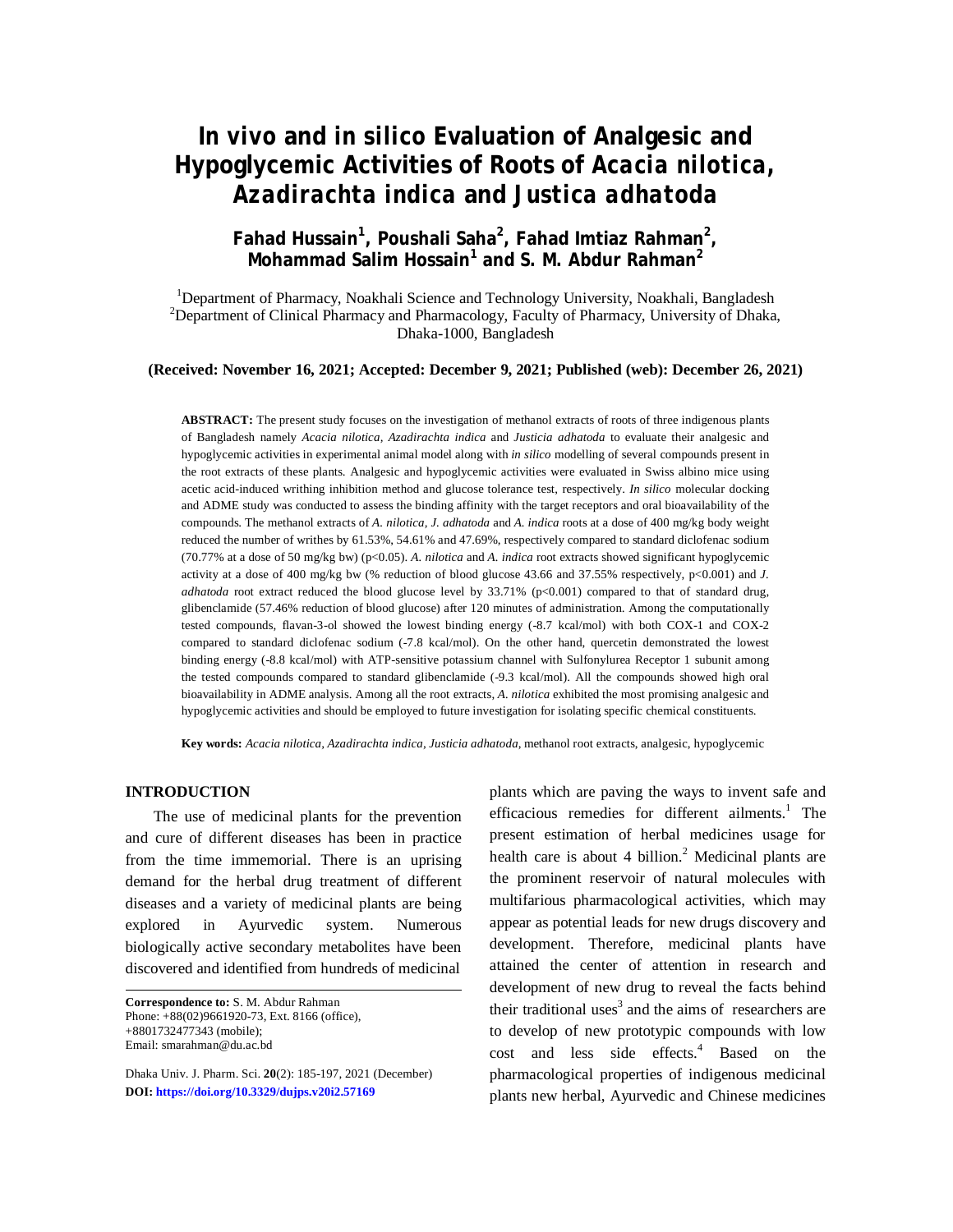# *In vivo* **and** *in silico* **Evaluation of Analgesic and Hypoglycemic Activities of Roots of** *Acacia nilotica, Azadirachta indica* **and** *Justica adhatoda*

# **Fahad Hussain<sup>1</sup> , Poushali Saha<sup>2</sup> , Fahad Imtiaz Rahman<sup>2</sup> , Mohammad Salim Hossain<sup>1</sup> and S. M. Abdur Rahman<sup>2</sup>**

<sup>1</sup>Department of Pharmacy, Noakhali Science and Technology University, Noakhali, Bangladesh <sup>2</sup>Department of Clinical Pharmacy and Pharmacology, Faculty of Pharmacy, University of Dhaka, Dhaka-1000, Bangladesh

### **(Received: November 16, 2021; Accepted: December 9, 2021; Published (web): December 26, 2021)**

**ABSTRACT:** The present study focuses on the investigation of methanol extracts of roots of three indigenous plants of Bangladesh namely *Acacia nilotica, Azadirachta indica* and *Justicia adhatoda* to evaluate their analgesic and hypoglycemic activities in experimental animal model along with *in silico* modelling of several compounds present in the root extracts of these plants. Analgesic and hypoglycemic activities were evaluated in Swiss albino mice using acetic acid-induced writhing inhibition method and glucose tolerance test, respectively. *In silico* molecular docking and ADME study was conducted to assess the binding affinity with the target receptors and oral bioavailability of the compounds. The methanol extracts of *A. nilotica, J. adhatoda* and *A. indica* roots at a dose of 400 mg/kg body weight reduced the number of writhes by 61.53%, 54.61% and 47.69%, respectively compared to standard diclofenac sodium (70.77% at a dose of 50 mg/kg bw) (p<0.05). *A. nilotica* and *A. indica* root extracts showed significant hypoglycemic activity at a dose of 400 mg/kg bw (% reduction of blood glucose 43.66 and 37.55% respectively, p<0.001) and *J. adhatoda* root extract reduced the blood glucose level by 33.71% (p<0.001) compared to that of standard drug, glibenclamide (57.46% reduction of blood glucose) after 120 minutes of administration. Among the computationally tested compounds, flavan-3-ol showed the lowest binding energy (-8.7 kcal/mol) with both COX-1 and COX-2 compared to standard diclofenac sodium (-7.8 kcal/mol). On the other hand, quercetin demonstrated the lowest binding energy (-8.8 kcal/mol) with ATP-sensitive potassium channel with Sulfonylurea Receptor 1 subunit among the tested compounds compared to standard glibenclamide (-9.3 kcal/mol). All the compounds showed high oral bioavailability in ADME analysis. Among all the root extracts, *A. nilotica* exhibited the most promising analgesic and hypoglycemic activities and should be employed to future investigation for isolating specific chemical constituents.

**Key words:** *Acacia nilotica, Azadirachta indica, Justicia adhatoda*, methanol root extracts, analgesic, hypoglycemic

#### **INTRODUCTION**

The use of medicinal plants for the prevention and cure of different diseases has been in practice from the time immemorial. There is an uprising demand for the herbal drug treatment of different diseases and a variety of medicinal plants are being explored in Ayurvedic system. Numerous biologically active secondary metabolites have been discovered and identified from hundreds of medicinal

**Correspondence to:** S. M. Abdur Rahman Phone: +88(02)9661920-73, Ext. 8166 (office), +8801732477343 (mobile); Email: [smarahman@du.ac.bd](mailto:smarahman@du.ac.bd)

Dhaka Univ. J. Pharm. Sci. **20**(2): 185-197, 2021 (December) **DOI:<https://doi.org/10.3329/dujps.v20i2.57169>**

plants which are paving the ways to invent safe and efficacious remedies for different ailments. $<sup>1</sup>$  The</sup> present estimation of herbal medicines usage for health care is about 4 billion.<sup>2</sup> Medicinal plants are the prominent reservoir of natural molecules with multifarious pharmacological activities, which may appear as potential leads for new drugs discovery and development. Therefore, medicinal plants have attained the center of attention in research and development of new drug to reveal the facts behind their traditional uses<sup>3</sup> and the aims of researchers are to develop of new prototypic compounds with low cost and less side effects.<sup>4</sup> Based on the pharmacological properties of indigenous medicinal plants new herbal, Ayurvedic and Chinese medicines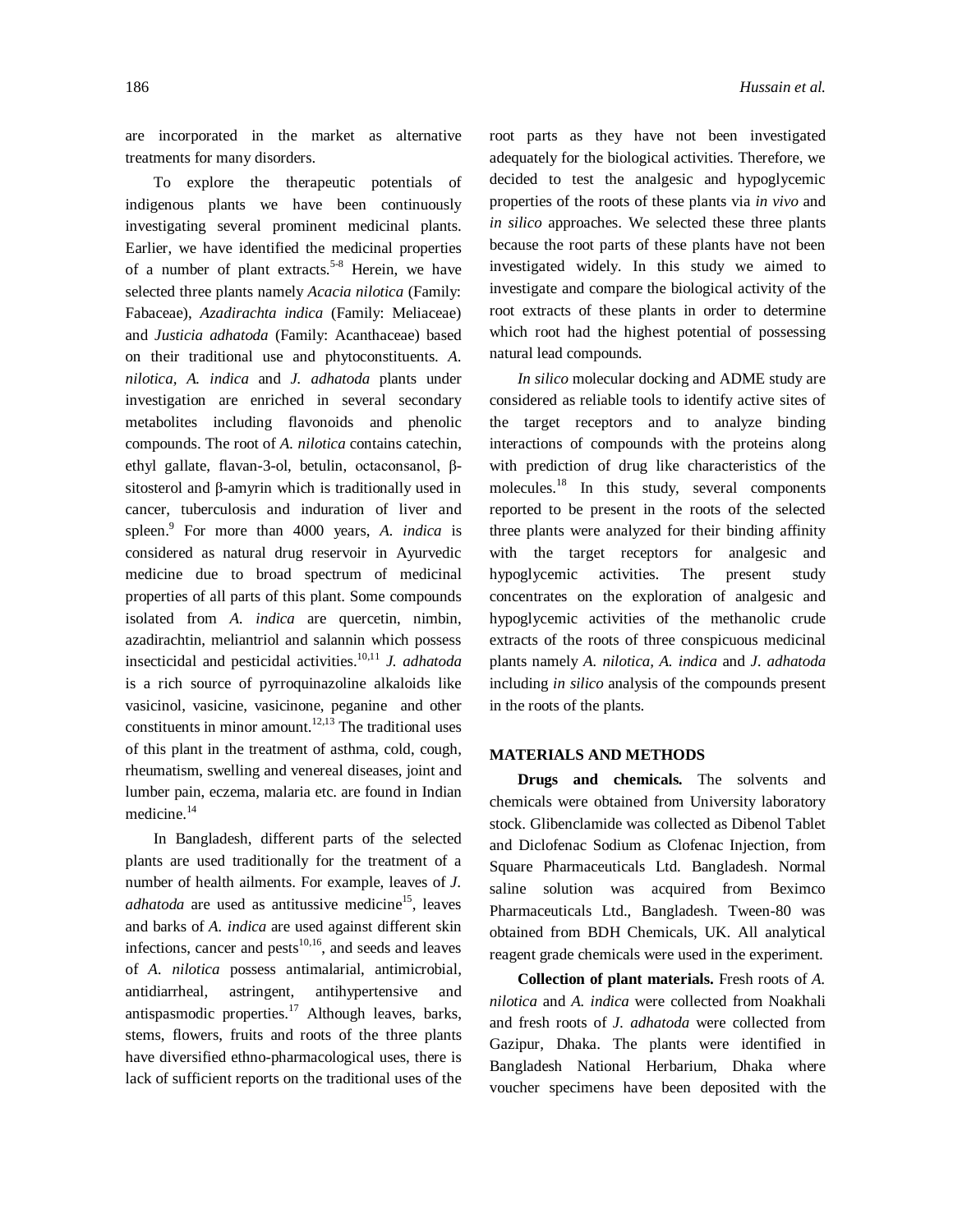are incorporated in the market as alternative treatments for many disorders.

To explore the therapeutic potentials of indigenous plants we have been continuously investigating several prominent medicinal plants. Earlier, we have identified the medicinal properties of a number of plant extracts.<sup>5-8</sup> Herein, we have selected three plants namely *Acacia nilotica* (Family: Fabaceae), *Azadirachta indica* (Family: Meliaceae) and *Justicia adhatoda* (Family: Acanthaceae) based on their traditional use and phytoconstituents. *A. nilotica, A. indica* and *J. adhatoda* plants under investigation are enriched in several secondary metabolites including flavonoids and phenolic compounds. The root of *A. nilotica* contains catechin, ethyl gallate, flavan-3-ol, betulin, octaconsanol, βsitosterol and β-amyrin which is traditionally used in cancer, tuberculosis and induration of liver and spleen. 9 For more than 4000 years, *A. indica* is considered as natural drug reservoir in Ayurvedic medicine due to broad spectrum of medicinal properties of all parts of this plant. Some compounds isolated from *A. indica* are quercetin, nimbin, azadirachtin, meliantriol and salannin which possess insecticidal and pesticidal activities. 10,11 *J. adhatoda* is a rich source of pyrroquinazoline alkaloids like vasicinol, vasicine, vasicinone, peganine and other constituents in minor amount.<sup>12,13</sup> The traditional uses of this plant in the treatment of asthma, cold, cough, rheumatism, swelling and venereal diseases, joint and lumber pain, eczema, malaria etc. are found in Indian medicine. 14

In Bangladesh, different parts of the selected plants are used traditionally for the treatment of a number of health ailments. For example, leaves of *J. adhatoda* are used as antitussive medicine<sup>15</sup>, leaves and barks of *A. indica* are used against different skin infections, cancer and pests $10,16$ , and seeds and leaves of *A. nilotica* possess antimalarial, antimicrobial, antidiarrheal, astringent, antihypertensive and antispasmodic properties.<sup>17</sup> Although leaves, barks, stems, flowers, fruits and roots of the three plants have diversified ethno-pharmacological uses, there is lack of sufficient reports on the traditional uses of the

root parts as they have not been investigated adequately for the biological activities. Therefore, we decided to test the analgesic and hypoglycemic properties of the roots of these plants via *in vivo* and *in silico* approaches. We selected these three plants because the root parts of these plants have not been investigated widely. In this study we aimed to investigate and compare the biological activity of the root extracts of these plants in order to determine which root had the highest potential of possessing natural lead compounds.

*In silico* molecular docking and ADME study are considered as reliable tools to identify active sites of the target receptors and to analyze binding interactions of compounds with the proteins along with prediction of drug like characteristics of the molecules.<sup>18</sup> In this study, several components reported to be present in the roots of the selected three plants were analyzed for their binding affinity with the target receptors for analgesic and hypoglycemic activities. The present study concentrates on the exploration of analgesic and hypoglycemic activities of the methanolic crude extracts of the roots of three conspicuous medicinal plants namely *A. nilotica, A. indica* and *J. adhatoda* including *in silico* analysis of the compounds present in the roots of the plants.

#### **MATERIALS AND METHODS**

**Drugs and chemicals.** The solvents and chemicals were obtained from University laboratory stock. Glibenclamide was collected as Dibenol Tablet and Diclofenac Sodium as Clofenac Injection, from Square Pharmaceuticals Ltd. Bangladesh. Normal saline solution was acquired from Beximco Pharmaceuticals Ltd., Bangladesh. Tween-80 was obtained from BDH Chemicals, UK. All analytical reagent grade chemicals were used in the experiment.

**Collection of plant materials.** Fresh roots of *A. nilotica* and *A. indica* were collected from Noakhali and fresh roots of *J. adhatoda* were collected from Gazipur, Dhaka. The plants were identified in Bangladesh National Herbarium, Dhaka where voucher specimens have been deposited with the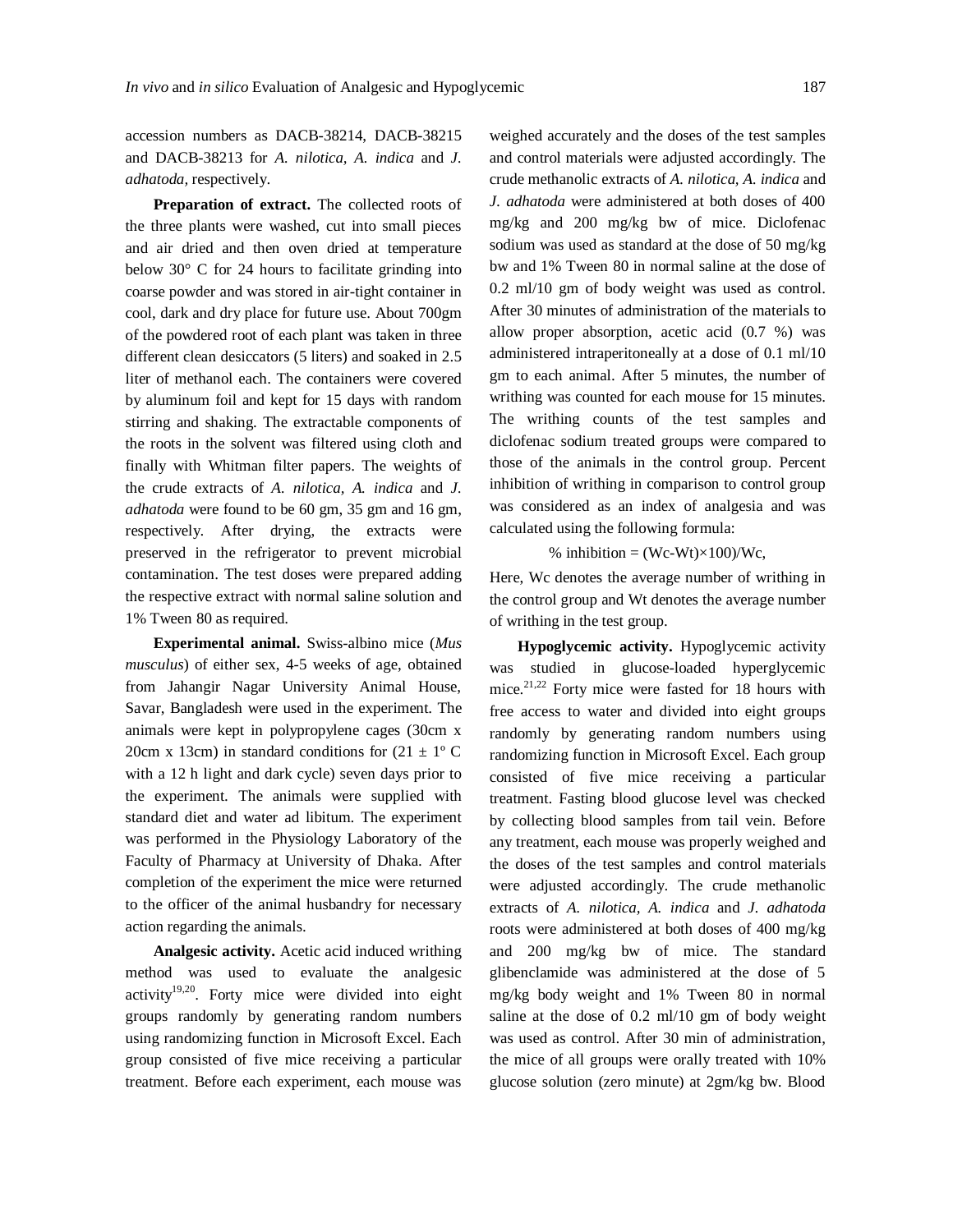accession numbers as DACB-38214, DACB-38215 and DACB-38213 for *A. nilotica, A. indica* and *J. adhatoda,* respectively.

**Preparation of extract.** The collected roots of the three plants were washed, cut into small pieces and air dried and then oven dried at temperature below 30° C for 24 hours to facilitate grinding into coarse powder and was stored in air-tight container in cool, dark and dry place for future use. About 700gm of the powdered root of each plant was taken in three different clean desiccators (5 liters) and soaked in 2.5 liter of methanol each. The containers were covered by aluminum foil and kept for 15 days with random stirring and shaking. The extractable components of the roots in the solvent was filtered using cloth and finally with Whitman filter papers. The weights of the crude extracts of *A. nilotica, A. indica* and *J. adhatoda* were found to be 60 gm, 35 gm and 16 gm, respectively. After drying, the extracts were preserved in the refrigerator to prevent microbial contamination. The test doses were prepared adding the respective extract with normal saline solution and 1% Tween 80 as required.

**Experimental animal.** Swiss-albino mice (*Mus musculus*) of either sex, 4-5 weeks of age, obtained from Jahangir Nagar University Animal House, Savar, Bangladesh were used in the experiment. The animals were kept in polypropylene cages (30cm x 20cm x 13cm) in standard conditions for  $(21 \pm 1^{\circ} \text{C})$ with a 12 h light and dark cycle) seven days prior to the experiment. The animals were supplied with standard diet and water ad libitum. The experiment was performed in the Physiology Laboratory of the Faculty of Pharmacy at University of Dhaka. After completion of the experiment the mice were returned to the officer of the animal husbandry for necessary action regarding the animals.

**Analgesic activity.** Acetic acid induced writhing method was used to evaluate the analgesic activity<sup>19,20</sup>. Forty mice were divided into eight groups randomly by generating random numbers using randomizing function in Microsoft Excel. Each group consisted of five mice receiving a particular treatment. Before each experiment, each mouse was

weighed accurately and the doses of the test samples and control materials were adjusted accordingly. The crude methanolic extracts of *A. nilotica, A. indica* and *J. adhatoda* were administered at both doses of 400 mg/kg and 200 mg/kg bw of mice. Diclofenac sodium was used as standard at the dose of 50 mg/kg bw and 1% Tween 80 in normal saline at the dose of 0.2 ml/10 gm of body weight was used as control. After 30 minutes of administration of the materials to allow proper absorption, acetic acid (0.7 %) was administered intraperitoneally at a dose of 0.1 ml/10 gm to each animal. After 5 minutes, the number of writhing was counted for each mouse for 15 minutes. The writhing counts of the test samples and diclofenac sodium treated groups were compared to those of the animals in the control group. Percent inhibition of writhing in comparison to control group was considered as an index of analgesia and was calculated using the following formula:

% inhibition =  $(Wc-Wt) \times 100$ )/Wc,

Here, Wc denotes the average number of writhing in the control group and Wt denotes the average number of writhing in the test group.

**Hypoglycemic activity.** Hypoglycemic activity was studied in glucose-loaded hyperglycemic mice.<sup>21,22</sup> Forty mice were fasted for 18 hours with free access to water and divided into eight groups randomly by generating random numbers using randomizing function in Microsoft Excel. Each group consisted of five mice receiving a particular treatment. Fasting blood glucose level was checked by collecting blood samples from tail vein. Before any treatment, each mouse was properly weighed and the doses of the test samples and control materials were adjusted accordingly. The crude methanolic extracts of *A. nilotica, A. indica* and *J. adhatoda*  roots were administered at both doses of 400 mg/kg and 200 mg/kg bw of mice. The standard glibenclamide was administered at the dose of 5 mg/kg body weight and 1% Tween 80 in normal saline at the dose of 0.2 ml/10 gm of body weight was used as control. After 30 min of administration, the mice of all groups were orally treated with 10% glucose solution (zero minute) at 2gm/kg bw. Blood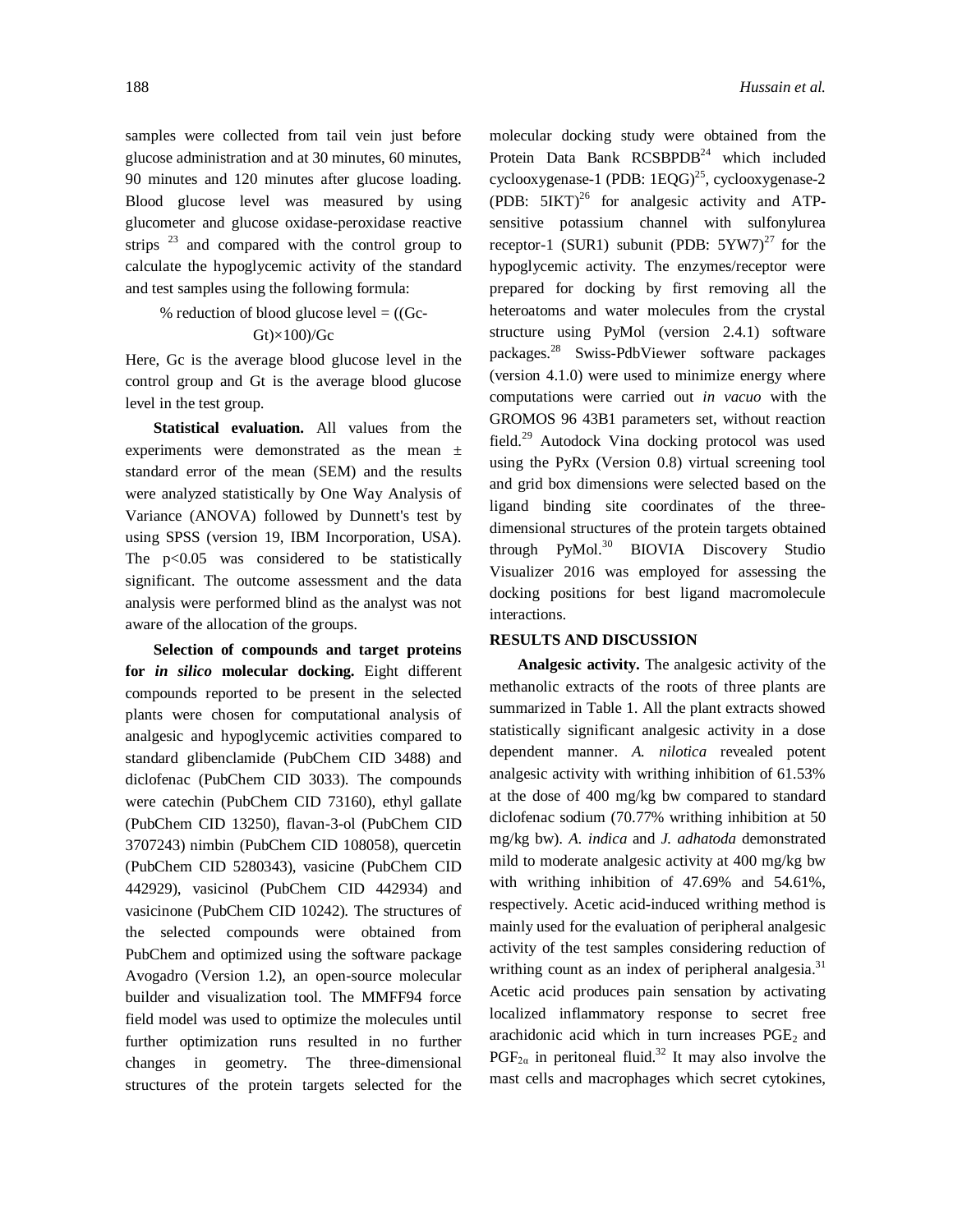samples were collected from tail vein just before glucose administration and at 30 minutes, 60 minutes, 90 minutes and 120 minutes after glucose loading. Blood glucose level was measured by using glucometer and glucose oxidase-peroxidase reactive strips  $^{23}$  and compared with the control group to calculate the hypoglycemic activity of the standard and test samples using the following formula:

% reduction of blood glucose level  $= ((Gc -$ 

# $Gt$  $\times$ 100)/ $Gc$

Here, Gc is the average blood glucose level in the control group and Gt is the average blood glucose level in the test group.

**Statistical evaluation.** All values from the experiments were demonstrated as the mean ± standard error of the mean (SEM) and the results were analyzed statistically by One Way Analysis of Variance (ANOVA) followed by Dunnett's test by using SPSS (version 19, IBM Incorporation, USA). The p<0.05 was considered to be statistically significant. The outcome assessment and the data analysis were performed blind as the analyst was not aware of the allocation of the groups.

**Selection of compounds and target proteins for** *in silico* **molecular docking.** Eight different compounds reported to be present in the selected plants were chosen for computational analysis of analgesic and hypoglycemic activities compared to standard glibenclamide (PubChem CID 3488) and diclofenac (PubChem CID 3033). The compounds were catechin (PubChem CID 73160), ethyl gallate (PubChem CID 13250), flavan-3-ol (PubChem CID 3707243) nimbin (PubChem CID 108058), quercetin (PubChem CID 5280343), vasicine (PubChem CID 442929), vasicinol (PubChem CID 442934) and vasicinone (PubChem CID 10242). The structures of the selected compounds were obtained from PubChem and optimized using the software package Avogadro (Version 1.2), an open-source molecular builder and visualization tool. The MMFF94 force field model was used to optimize the molecules until further optimization runs resulted in no further changes in geometry. The three-dimensional structures of the protein targets selected for the

molecular docking study were obtained from the Protein Data Bank RCSBPDB<sup>24</sup> which included cyclooxygenase-1 (PDB:  $1EQG$ )<sup>25</sup>, cyclooxygenase-2 (PDB:  $5IKT$ )<sup>26</sup> for analgesic activity and ATPsensitive potassium channel with sulfonylurea receptor-1 (SUR1) subunit (PDB:  $5YW7$ )<sup>27</sup> for the hypoglycemic activity. The enzymes/receptor were prepared for docking by first removing all the heteroatoms and water molecules from the crystal structure using PyMol (version 2.4.1) software packages. <sup>28</sup> Swiss-PdbViewer software packages (version 4.1.0) were used to minimize energy where computations were carried out *in vacuo* with the GROMOS 96 43B1 parameters set, without reaction field.<sup>29</sup> Autodock Vina docking protocol was used using the PyRx (Version 0.8) virtual screening tool and grid box dimensions were selected based on the ligand binding site coordinates of the threedimensional structures of the protein targets obtained through PyMol.<sup>30</sup> BIOVIA Discovery Studio Visualizer 2016 was employed for assessing the docking positions for best ligand macromolecule interactions.

### **RESULTS AND DISCUSSION**

**Analgesic activity.** The analgesic activity of the methanolic extracts of the roots of three plants are summarized in Table 1. All the plant extracts showed statistically significant analgesic activity in a dose dependent manner. *A. nilotica* revealed potent analgesic activity with writhing inhibition of 61.53% at the dose of 400 mg/kg bw compared to standard diclofenac sodium (70.77% writhing inhibition at 50 mg/kg bw). *A. indica* and *J. adhatoda* demonstrated mild to moderate analgesic activity at 400 mg/kg bw with writhing inhibition of 47.69% and 54.61%, respectively. Acetic acid-induced writhing method is mainly used for the evaluation of peripheral analgesic activity of the test samples considering reduction of writhing count as an index of peripheral analgesia.<sup>31</sup> Acetic acid produces pain sensation by activating localized inflammatory response to secret free arachidonic acid which in turn increases  $PGE<sub>2</sub>$  and  $PGF_{2\alpha}$  in peritoneal fluid.<sup>32</sup> It may also involve the mast cells and macrophages which secret cytokines,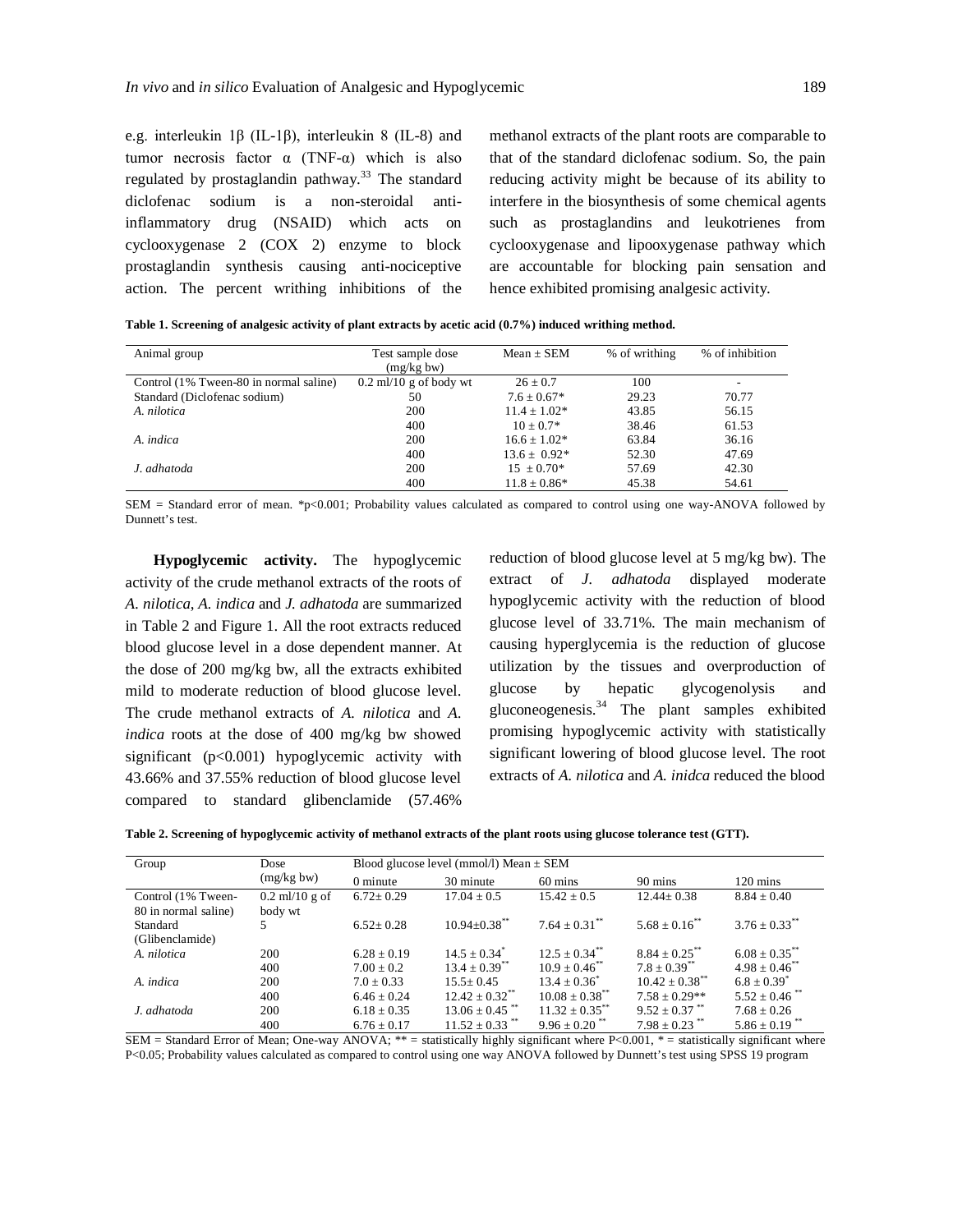e.g. interleukin 1β (IL-1β), interleukin 8 (IL-8) and tumor necrosis factor  $\alpha$  (TNF-α) which is also regulated by prostaglandin pathway.<sup>33</sup> The standard diclofenac sodium is a non-steroidal antiinflammatory drug (NSAID) which acts on cyclooxygenase 2 (COX 2) enzyme to block prostaglandin synthesis causing anti-nociceptive action. The percent writhing inhibitions of the

methanol extracts of the plant roots are comparable to that of the standard diclofenac sodium. So, the pain reducing activity might be because of its ability to interfere in the biosynthesis of some chemical agents such as prostaglandins and leukotrienes from cyclooxygenase and lipooxygenase pathway which are accountable for blocking pain sensation and hence exhibited promising analgesic activity.

|  |  | Table 1. Screening of analgesic activity of plant extracts by acetic acid (0.7%) induced writhing method. |  |  |
|--|--|-----------------------------------------------------------------------------------------------------------|--|--|
|--|--|-----------------------------------------------------------------------------------------------------------|--|--|

| Animal group                           | Test sample dose         | $Mean \pm SEM$    | % of writhing | % of inhibition |
|----------------------------------------|--------------------------|-------------------|---------------|-----------------|
|                                        | (mg/kg bw)               |                   |               |                 |
| Control (1% Tween-80 in normal saline) | $0.2$ ml/10 g of body wt | $26 + 0.7$        | 100           |                 |
| Standard (Diclofenac sodium)           | 50                       | $7.6 + 0.67*$     | 29.23         | 70.77           |
| A. nilotica                            | 200                      | $11.4 + 1.02*$    | 43.85         | 56.15           |
|                                        | 400                      | $10 + 0.7*$       | 38.46         | 61.53           |
| A. indica                              | 200                      | $16.6 + 1.02*$    | 63.84         | 36.16           |
|                                        | 400                      | $13.6 \pm 0.92^*$ | 52.30         | 47.69           |
| J. adhatoda                            | 200                      | $15 + 0.70*$      | 57.69         | 42.30           |
|                                        | 400                      | $11.8 + 0.86*$    | 45.38         | 54.61           |

SEM = Standard error of mean. \*p<0.001; Probability values calculated as compared to control using one way-ANOVA followed by Dunnett's test.

**Hypoglycemic activity.** The hypoglycemic activity of the crude methanol extracts of the roots of *A. nilotica*, *A. indica* and *J. adhatoda* are summarized in Table 2 and Figure 1. All the root extracts reduced blood glucose level in a dose dependent manner. At the dose of 200 mg/kg bw, all the extracts exhibited mild to moderate reduction of blood glucose level. The crude methanol extracts of *A. nilotica* and *A. indica* roots at the dose of 400 mg/kg bw showed significant  $(p<0.001)$  hypoglycemic activity with 43.66% and 37.55% reduction of blood glucose level compared to standard glibenclamide (57.46%

reduction of blood glucose level at 5 mg/kg bw). The extract of *J. adhatoda* displayed moderate hypoglycemic activity with the reduction of blood glucose level of 33.71%. The main mechanism of causing hyperglycemia is the reduction of glucose utilization by the tissues and overproduction of glucose by hepatic glycogenolysis and gluconeogenesis. $34$  The plant samples exhibited promising hypoglycemic activity with statistically significant lowering of blood glucose level. The root extracts of *A. nilotica* and *A. inidca* reduced the blood

**Table 2. Screening of hypoglycemic activity of methanol extracts of the plant roots using glucose tolerance test (GTT).**

| Group                | Dose             |                 | Blood glucose level (mmol/l) Mean $\pm$ SEM |                               |                               |                               |  |  |  |  |  |
|----------------------|------------------|-----------------|---------------------------------------------|-------------------------------|-------------------------------|-------------------------------|--|--|--|--|--|
|                      | (mg/kg bw)       | $0$ minute      | 30 minute                                   | $60 \text{ mins}$             | 90 mins                       | $120 \text{ mins}$            |  |  |  |  |  |
| Control (1% Tween-   | $0.2$ ml/10 g of | $6.72 \pm 0.29$ | $17.04 \pm 0.5$                             | $15.42 \pm 0.5$               | $12.44 \pm 0.38$              | $8.84 \pm 0.40$               |  |  |  |  |  |
| 80 in normal saline) | body wt          |                 |                                             |                               |                               |                               |  |  |  |  |  |
| Standard             | 5.               | $6.52 \pm 0.28$ | $10.94 \pm 0.38$ <sup>**</sup>              | $7.64 \pm 0.31$ <sup>**</sup> | $5.68 + 0.16^{**}$            | $3.76 \pm 0.33$ <sup>**</sup> |  |  |  |  |  |
| (Glibenclamide)      |                  |                 |                                             |                               |                               |                               |  |  |  |  |  |
| A. nilotica          | 200              | $6.28 \pm 0.19$ | $14.5 \pm 0.34^*$                           | $12.5 + 0.34$ <sup>**</sup>   | $8.84 \pm 0.25$ <sup>**</sup> | $6.08 \pm 0.35$ **            |  |  |  |  |  |
|                      | 400              | $7.00 \pm 0.2$  | $13.4 \pm 0.39$ <sup>**</sup>               | $10.9 \pm 0.46$ <sup>**</sup> | $7.8 + 0.39^{**}$             | $4.98 \pm 0.46$ **            |  |  |  |  |  |
| A. indica            | 200              | $7.0 \pm 0.33$  | $15.5 \pm 0.45$                             | $13.4 \pm 0.36^*$             | $10.42 + 0.38$ <sup>**</sup>  | $6.8 \pm 0.39^*$              |  |  |  |  |  |
|                      | 400              | $6.46 \pm 0.24$ | $12.42 \pm 0.32$ <sup>**</sup>              | $10.08 \pm 0.38$ **           | $7.58 \pm 0.29**$             | $5.52 + 0.46$ <sup>**</sup>   |  |  |  |  |  |
| J. adhatoda          | 200              | $6.18 \pm 0.35$ | $13.06 \pm 0.45$ <sup>**</sup>              | $11.32 \pm 0.35$ **           | $9.52 \pm 0.37$ **            | $7.68 \pm 0.26$               |  |  |  |  |  |
|                      | 400              | $6.76 \pm 0.17$ | $11.52 \pm 0.33$ <sup>**</sup>              | $9.96 \pm 0.20$ <sup>**</sup> | $7.98 \pm 0.23$ **            | $5.86 + 0.19$ <sup>**</sup>   |  |  |  |  |  |

SEM = Standard Error of Mean; One-way ANOVA; \*\* = statistically highly significant where P<0.001, \* = statistically significant where P<0.05; Probability values calculated as compared to control using one way ANOVA followed by Dunnett's test using SPSS 19 program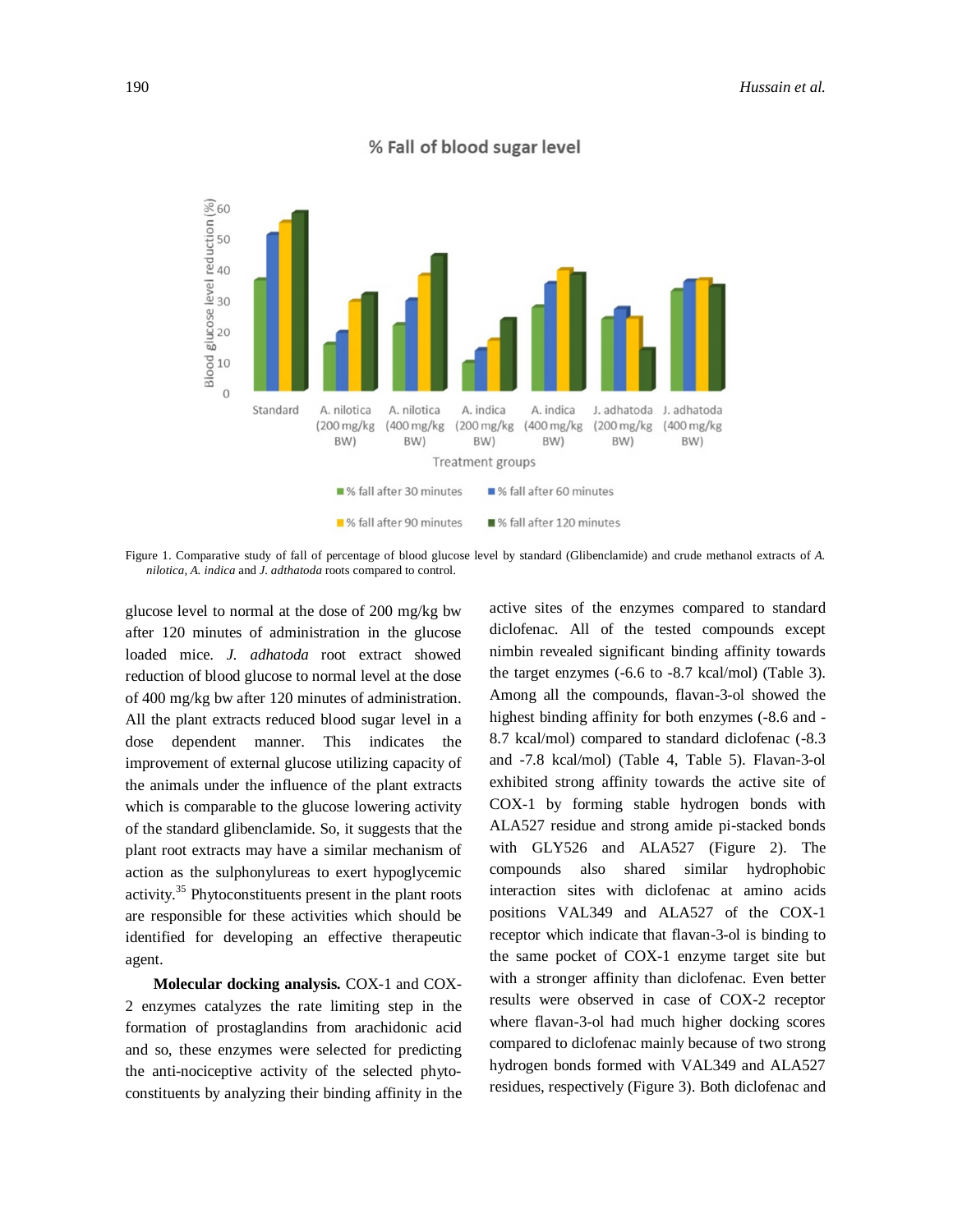

# % Fall of blood sugar level

Figure 1. Comparative study of fall of percentage of blood glucose level by standard (Glibenclamide) and crude methanol extracts of *A. nilotica, A. indica* and *J. adthatoda* roots compared to control.

glucose level to normal at the dose of 200 mg/kg bw after 120 minutes of administration in the glucose loaded mice. *J. adhatoda* root extract showed reduction of blood glucose to normal level at the dose of 400 mg/kg bw after 120 minutes of administration. All the plant extracts reduced blood sugar level in a dose dependent manner. This indicates the improvement of external glucose utilizing capacity of the animals under the influence of the plant extracts which is comparable to the glucose lowering activity of the standard glibenclamide. So, it suggests that the plant root extracts may have a similar mechanism of action as the sulphonylureas to exert hypoglycemic activity. 35 Phytoconstituents present in the plant roots are responsible for these activities which should be identified for developing an effective therapeutic agent.

**Molecular docking analysis.** COX-1 and COX-2 enzymes catalyzes the rate limiting step in the formation of prostaglandins from arachidonic acid and so, these enzymes were selected for predicting the anti-nociceptive activity of the selected phytoconstituents by analyzing their binding affinity in the active sites of the enzymes compared to standard diclofenac. All of the tested compounds except nimbin revealed significant binding affinity towards the target enzymes (-6.6 to -8.7 kcal/mol) (Table 3). Among all the compounds, flavan-3-ol showed the highest binding affinity for both enzymes (-8.6 and - 8.7 kcal/mol) compared to standard diclofenac (-8.3 and -7.8 kcal/mol) (Table 4, Table 5). Flavan-3-ol exhibited strong affinity towards the active site of COX-1 by forming stable hydrogen bonds with ALA527 residue and strong amide pi-stacked bonds with GLY526 and ALA527 (Figure 2). The compounds also shared similar hydrophobic interaction sites with diclofenac at amino acids positions VAL349 and ALA527 of the COX-1 receptor which indicate that flavan-3-ol is binding to the same pocket of COX-1 enzyme target site but with a stronger affinity than diclofenac. Even better results were observed in case of COX-2 receptor where flavan-3-ol had much higher docking scores compared to diclofenac mainly because of two strong hydrogen bonds formed with VAL349 and ALA527 residues, respectively (Figure 3). Both diclofenac and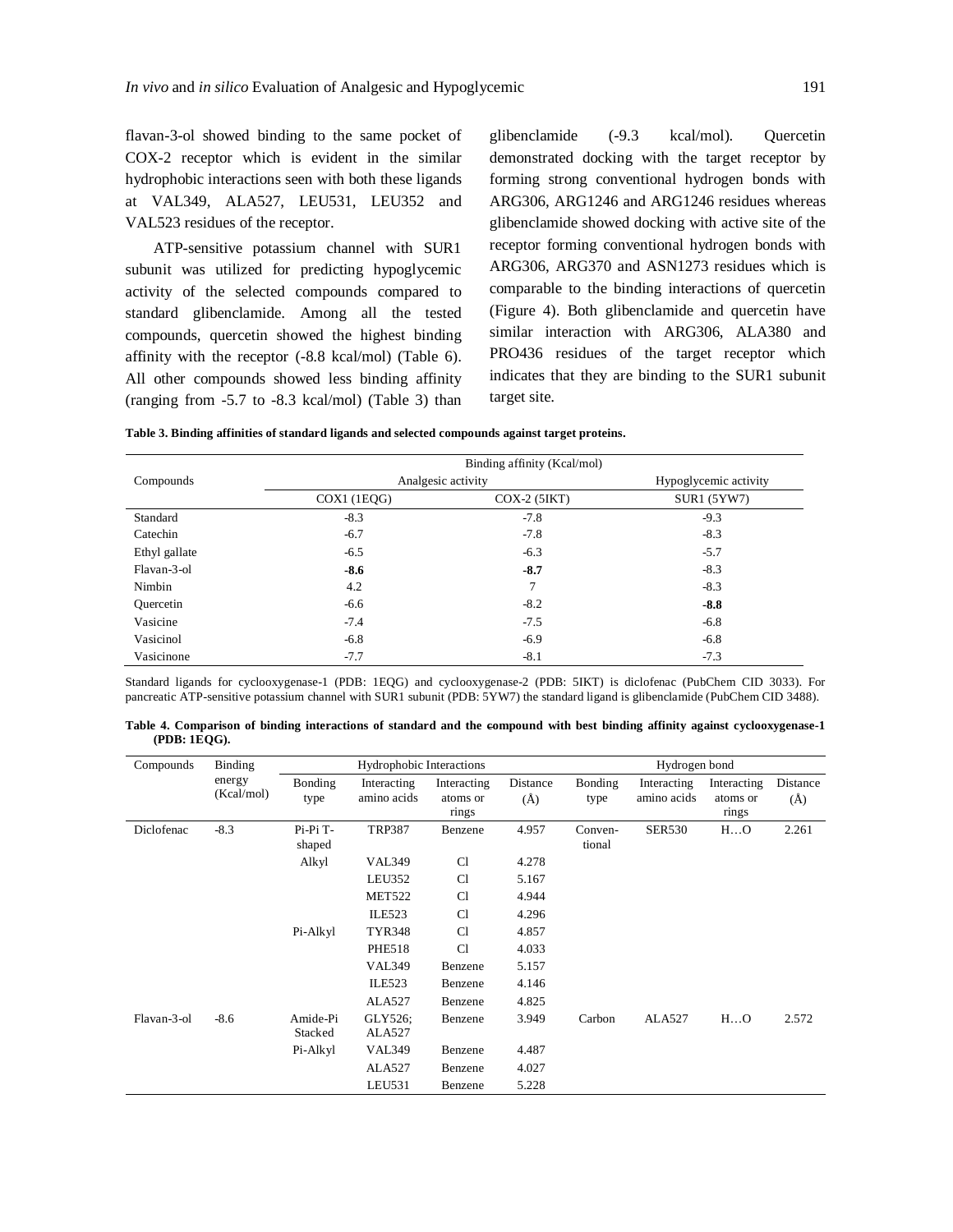flavan-3-ol showed binding to the same pocket of COX-2 receptor which is evident in the similar hydrophobic interactions seen with both these ligands at VAL349, ALA527, LEU531, LEU352 and VAL523 residues of the receptor.

ATP-sensitive potassium channel with SUR1 subunit was utilized for predicting hypoglycemic activity of the selected compounds compared to standard glibenclamide. Among all the tested compounds, quercetin showed the highest binding affinity with the receptor (-8.8 kcal/mol) (Table 6). All other compounds showed less binding affinity (ranging from -5.7 to -8.3 kcal/mol) (Table 3) than glibenclamide (-9.3 kcal/mol). Quercetin demonstrated docking with the target receptor by forming strong conventional hydrogen bonds with ARG306, ARG1246 and ARG1246 residues whereas glibenclamide showed docking with active site of the receptor forming conventional hydrogen bonds with ARG306, ARG370 and ASN1273 residues which is comparable to the binding interactions of quercetin (Figure 4). Both glibenclamide and quercetin have similar interaction with ARG306, ALA380 and PRO436 residues of the target receptor which indicates that they are binding to the SUR1 subunit target site.

**Table 3. Binding affinities of standard ligands and selected compounds against target proteins.**

| Compounds     |             | Analgesic activity | Hypoglycemic activity |
|---------------|-------------|--------------------|-----------------------|
|               | COX1 (1EQG) | $COX-2$ (5IKT)     | SUR1 (5YW7)           |
| Standard      | $-8.3$      | $-7.8$             | $-9.3$                |
| Catechin      | $-6.7$      | $-7.8$             | $-8.3$                |
| Ethyl gallate | $-6.5$      | $-6.3$             | $-5.7$                |
| Flavan-3-ol   | $-8.6$      | $-8.7$             | $-8.3$                |
| Nimbin        | 4.2         | 7                  | $-8.3$                |
| Ouercetin     | $-6.6$      | $-8.2$             | $-8.8$                |
| Vasicine      | $-7.4$      | $-7.5$             | $-6.8$                |
| Vasicinol     | $-6.8$      | $-6.9$             | $-6.8$                |
| Vasicinone    | $-7.7$      | $-8.1$             | $-7.3$                |

Standard ligands for cyclooxygenase-1 (PDB: 1EQG) and cyclooxygenase-2 (PDB: 5IKT) is diclofenac (PubChem CID 3033). For pancreatic ATP-sensitive potassium channel with SUR1 subunit (PDB: 5YW7) the standard ligand is glibenclamide (PubChem CID 3488).

| Table 4. Comparison of binding interactions of standard and the eompound with best binding affinity against cyclooxygenase-1 |  |  |  |  |
|------------------------------------------------------------------------------------------------------------------------------|--|--|--|--|
| (PDB: 1EOG).                                                                                                                 |  |  |  |  |

| Compounds   | Binding              |                     | Hydrophobic Interactions   |                                  |                 |                   | Hydrogen bond              |                                  |                 |
|-------------|----------------------|---------------------|----------------------------|----------------------------------|-----------------|-------------------|----------------------------|----------------------------------|-----------------|
|             | energy<br>(Kcal/mol) | Bonding<br>type     | Interacting<br>amino acids | Interacting<br>atoms or<br>rings | Distance<br>(A) | Bonding<br>type   | Interacting<br>amino acids | Interacting<br>atoms or<br>rings | Distance<br>(A) |
| Diclofenac  | $-8.3$               | Pi-Pi T-<br>shaped  | <b>TRP387</b>              | Benzene                          | 4.957           | Conven-<br>tional | <b>SER530</b>              | HO                               | 2.261           |
|             |                      | Alkyl               | <b>VAL349</b>              | C <sub>1</sub>                   | 4.278           |                   |                            |                                  |                 |
|             |                      |                     | LEU352                     | Cl                               | 5.167           |                   |                            |                                  |                 |
|             |                      |                     | <b>MET522</b>              | C <sub>1</sub>                   | 4.944           |                   |                            |                                  |                 |
|             |                      |                     | <b>ILE523</b>              | C <sub>1</sub>                   | 4.296           |                   |                            |                                  |                 |
|             |                      | Pi-Alkyl            | <b>TYR348</b>              | C <sub>1</sub>                   | 4.857           |                   |                            |                                  |                 |
|             |                      |                     | <b>PHE518</b>              | Cl                               | 4.033           |                   |                            |                                  |                 |
|             |                      |                     | <b>VAL349</b>              | Benzene                          | 5.157           |                   |                            |                                  |                 |
|             |                      |                     | <b>ILE523</b>              | Benzene                          | 4.146           |                   |                            |                                  |                 |
|             |                      |                     | ALA527                     | Benzene                          | 4.825           |                   |                            |                                  |                 |
| Flavan-3-ol | $-8.6$               | Amide-Pi<br>Stacked | GLY526;<br>ALA527          | Benzene                          | 3.949           | Carbon            | ALA527                     | HO                               | 2.572           |
|             |                      | Pi-Alkyl            | <b>VAL349</b>              | Benzene                          | 4.487           |                   |                            |                                  |                 |
|             |                      |                     | ALA527                     | Benzene                          | 4.027           |                   |                            |                                  |                 |
|             |                      |                     | LEU531                     | Benzene                          | 5.228           |                   |                            |                                  |                 |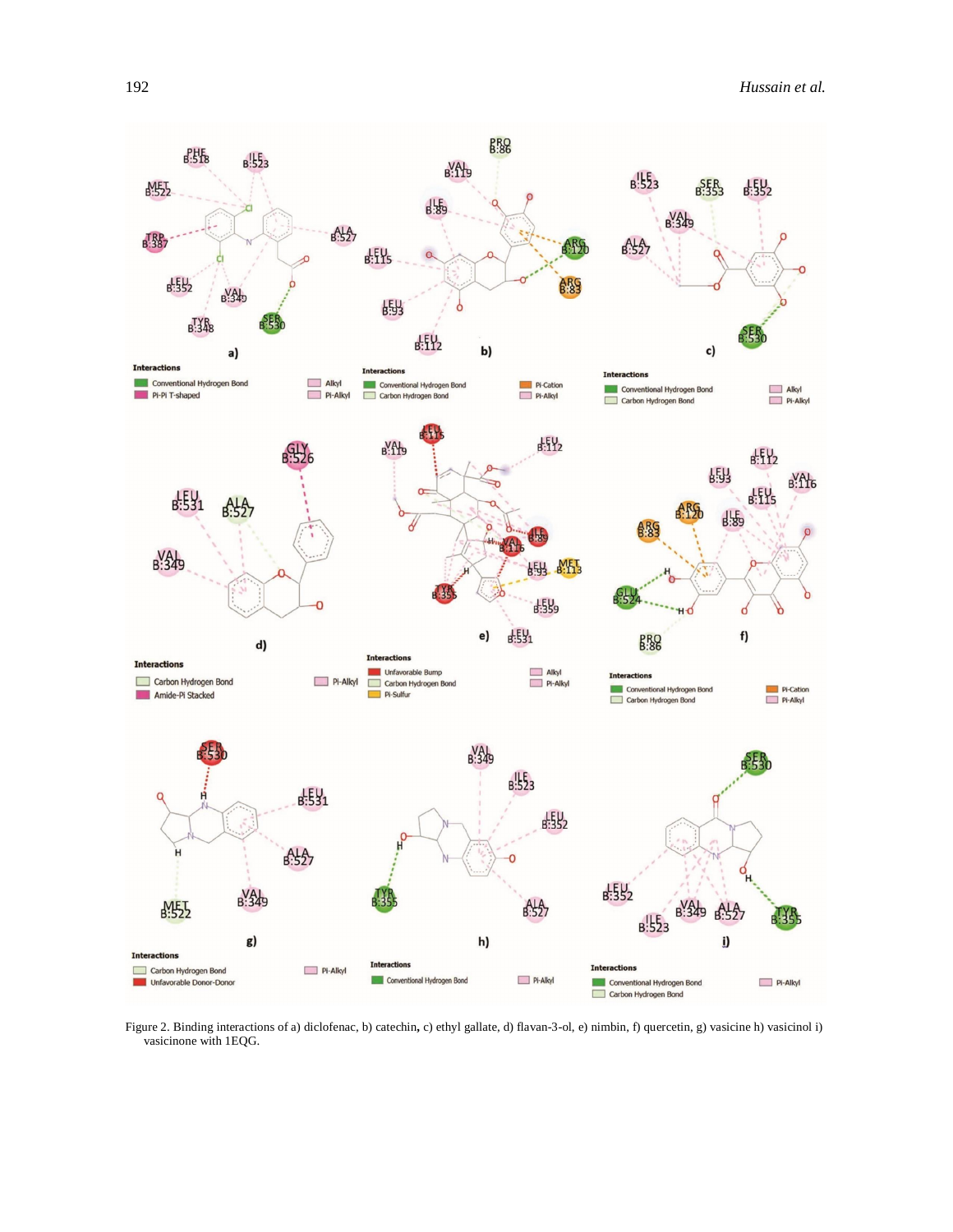

Figure 2. Binding interactions of a) diclofenac, b) catechin**,** c) ethyl gallate, d) flavan-3-ol, e) nimbin, f) quercetin, g) vasicine h) vasicinol i) vasicinone with 1EQG.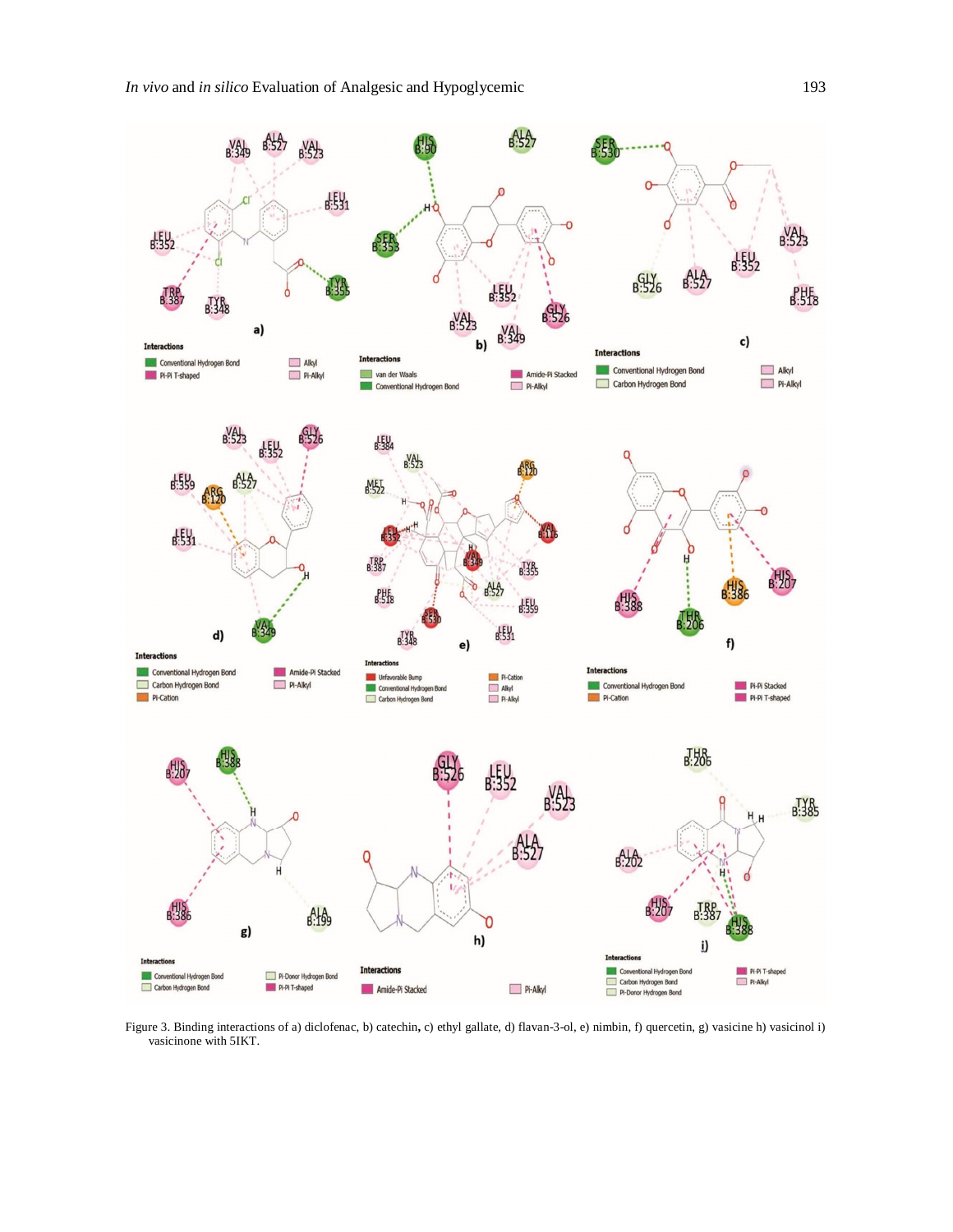

Figure 3. Binding interactions of a) diclofenac, b) catechin**,** c) ethyl gallate, d) flavan-3-ol, e) nimbin, f) quercetin, g) vasicine h) vasicinol i) vasicinone with 5IKT.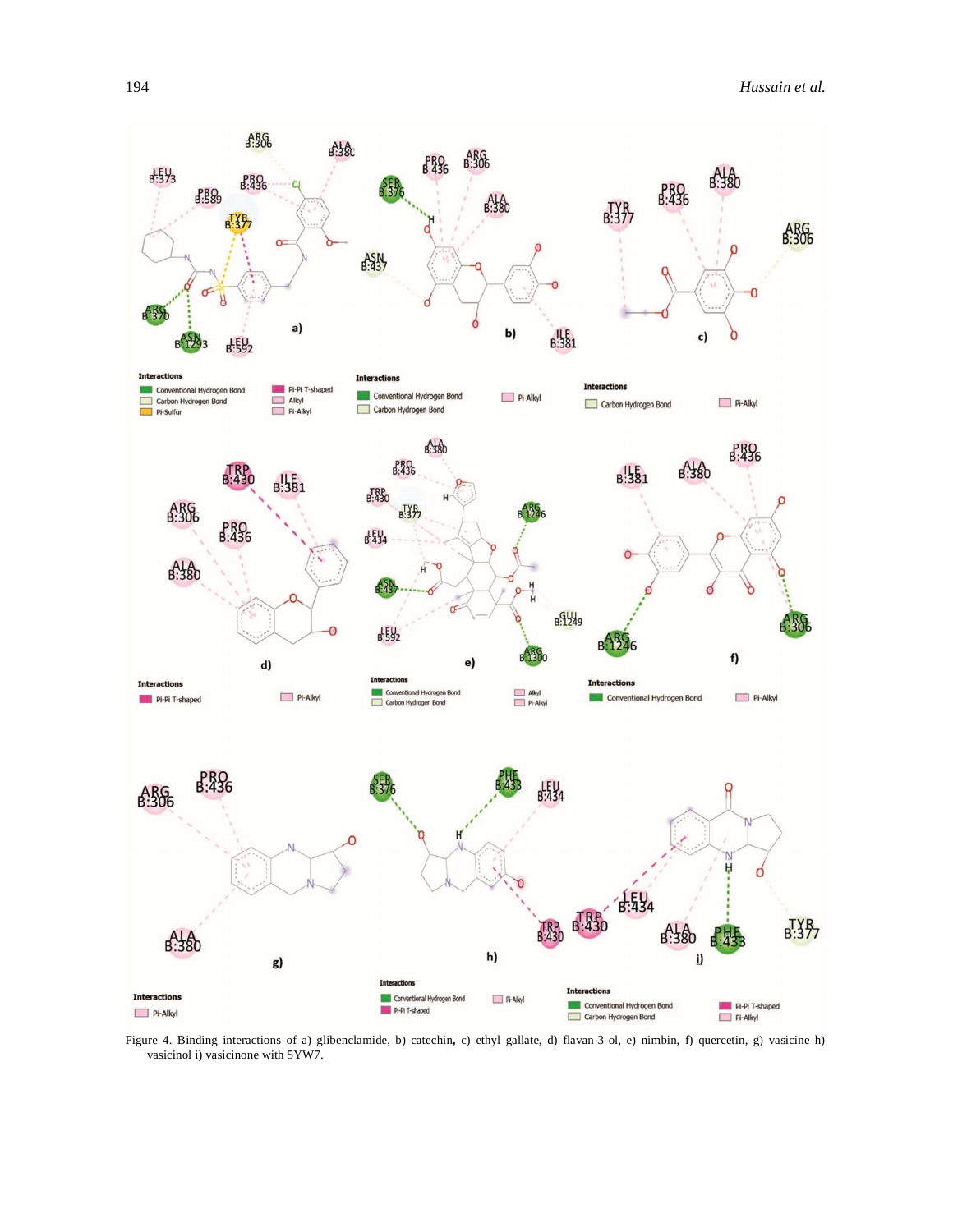

Figure 4. Binding interactions of a) glibenclamide, b) catechin**,** c) ethyl gallate, d) flavan-3-ol, e) nimbin, f) quercetin, g) vasicine h) vasicinol i) vasicinone with 5YW7.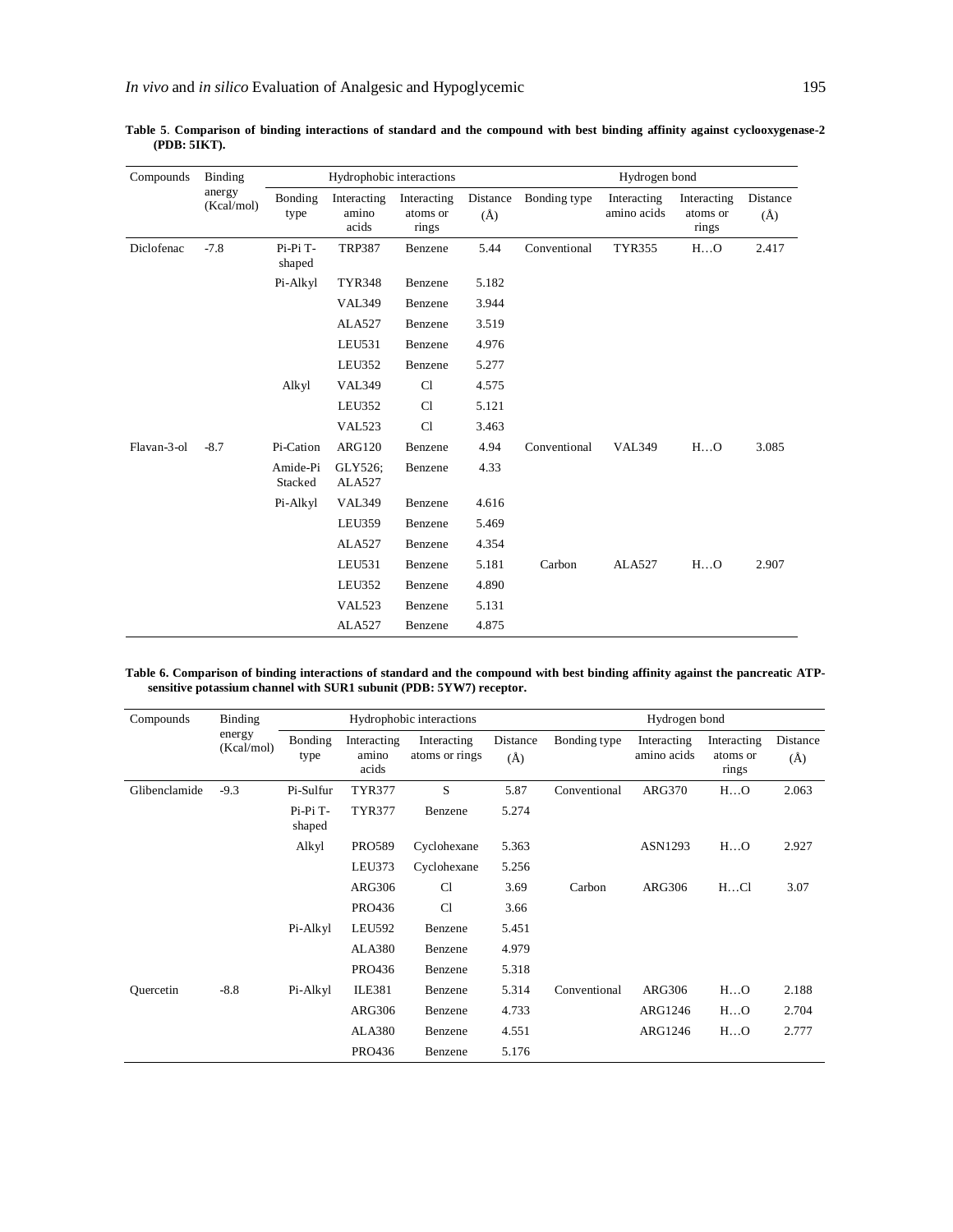| Compounds   | Binding              |                     | Hydrophobic interactions      |                                  |                     |              | Hydrogen bond              |                                  |                     |
|-------------|----------------------|---------------------|-------------------------------|----------------------------------|---------------------|--------------|----------------------------|----------------------------------|---------------------|
|             | anergy<br>(Kcal/mol) | Bonding<br>type     | Interacting<br>amino<br>acids | Interacting<br>atoms or<br>rings | Distance<br>$(\AA)$ | Bonding type | Interacting<br>amino acids | Interacting<br>atoms or<br>rings | Distance<br>$(\AA)$ |
| Diclofenac  | $-7.8$               | Pi-Pi T-<br>shaped  | <b>TRP387</b>                 | Benzene                          | 5.44                | Conventional | <b>TYR355</b>              | HO                               | 2.417               |
|             |                      | Pi-Alkyl            | <b>TYR348</b>                 | Benzene                          | 5.182               |              |                            |                                  |                     |
|             |                      |                     | <b>VAL349</b>                 | Benzene                          | 3.944               |              |                            |                                  |                     |
|             |                      |                     | ALA527                        | Benzene                          | 3.519               |              |                            |                                  |                     |
|             |                      |                     | LEU531                        | Benzene                          | 4.976               |              |                            |                                  |                     |
|             |                      |                     | <b>LEU352</b>                 | Benzene                          | 5.277               |              |                            |                                  |                     |
|             |                      | Alkyl               | <b>VAL349</b>                 | Cl                               | 4.575               |              |                            |                                  |                     |
|             |                      |                     | <b>LEU352</b>                 | C1                               | 5.121               |              |                            |                                  |                     |
|             |                      |                     | <b>VAL523</b>                 | Cl                               | 3.463               |              |                            |                                  |                     |
| Flavan-3-ol | $-8.7$               | Pi-Cation           | <b>ARG120</b>                 | Benzene                          | 4.94                | Conventional | <b>VAL349</b>              | HO                               | 3.085               |
|             |                      | Amide-Pi<br>Stacked | GLY526;<br>ALA527             | Benzene                          | 4.33                |              |                            |                                  |                     |
|             |                      | Pi-Alkyl            | <b>VAL349</b>                 | Benzene                          | 4.616               |              |                            |                                  |                     |
|             |                      |                     | <b>LEU359</b>                 | Benzene                          | 5.469               |              |                            |                                  |                     |
|             |                      |                     | ALA527                        | Benzene                          | 4.354               |              |                            |                                  |                     |
|             |                      |                     | LEU531                        | Benzene                          | 5.181               | Carbon       | ALA527                     | HO                               | 2.907               |
|             |                      |                     | LEU352                        | Benzene                          | 4.890               |              |                            |                                  |                     |
|             |                      |                     | VAL523                        | Benzene                          | 5.131               |              |                            |                                  |                     |
|             |                      |                     | ALA527                        | Benzene                          | 4.875               |              |                            |                                  |                     |

**Table 5**. **Comparison of binding interactions of standard and the compound with best binding affinity against cyclooxygenase-2 (PDB: 5IKT).**

**Table 6. Comparison of binding interactions of standard and the compound with best binding affinity against the pancreatic ATPsensitive potassium channel with SUR1 subunit (PDB: 5YW7) receptor.**

| Compounds     | Binding              |                    | Hydrophobic interactions      |                               |                     |              | Hydrogen bond              |                                  |                 |
|---------------|----------------------|--------------------|-------------------------------|-------------------------------|---------------------|--------------|----------------------------|----------------------------------|-----------------|
|               | energy<br>(Kcal/mol) | Bonding<br>type    | Interacting<br>amino<br>acids | Interacting<br>atoms or rings | Distance<br>$(\AA)$ | Bonding type | Interacting<br>amino acids | Interacting<br>atoms or<br>rings | Distance<br>(A) |
| Glibenclamide | $-9.3$               | Pi-Sulfur          | <b>TYR377</b>                 | S                             | 5.87                | Conventional | <b>ARG370</b>              | HO                               | 2.063           |
|               |                      | Pi-Pi T-<br>shaped | <b>TYR377</b>                 | Benzene                       | 5.274               |              |                            |                                  |                 |
|               |                      | Alkyl              | <b>PRO589</b>                 | Cyclohexane                   | 5.363               |              | ASN1293                    | HO                               | 2.927           |
|               |                      |                    | LEU373                        | Cyclohexane                   | 5.256               |              |                            |                                  |                 |
|               |                      |                    | ARG306                        | Cl                            | 3.69                | Carbon       | <b>ARG306</b>              | HCl                              | 3.07            |
|               |                      |                    | PRO436                        | Cl                            | 3.66                |              |                            |                                  |                 |
|               |                      | Pi-Alkyl           | <b>LEU592</b>                 | Benzene                       | 5.451               |              |                            |                                  |                 |
|               |                      |                    | <b>ALA380</b>                 | Benzene                       | 4.979               |              |                            |                                  |                 |
|               |                      |                    | PRO436                        | Benzene                       | 5.318               |              |                            |                                  |                 |
| Quercetin     | $-8.8$               | Pi-Alkyl           | <b>ILE381</b>                 | Benzene                       | 5.314               | Conventional | ARG306                     | HO                               | 2.188           |
|               |                      |                    | ARG306                        | Benzene                       | 4.733               |              | ARG1246                    | HO                               | 2.704           |
|               |                      |                    | <b>ALA380</b>                 | Benzene                       | 4.551               |              | ARG1246                    | HO                               | 2.777           |
|               |                      |                    | PRO436                        | Benzene                       | 5.176               |              |                            |                                  |                 |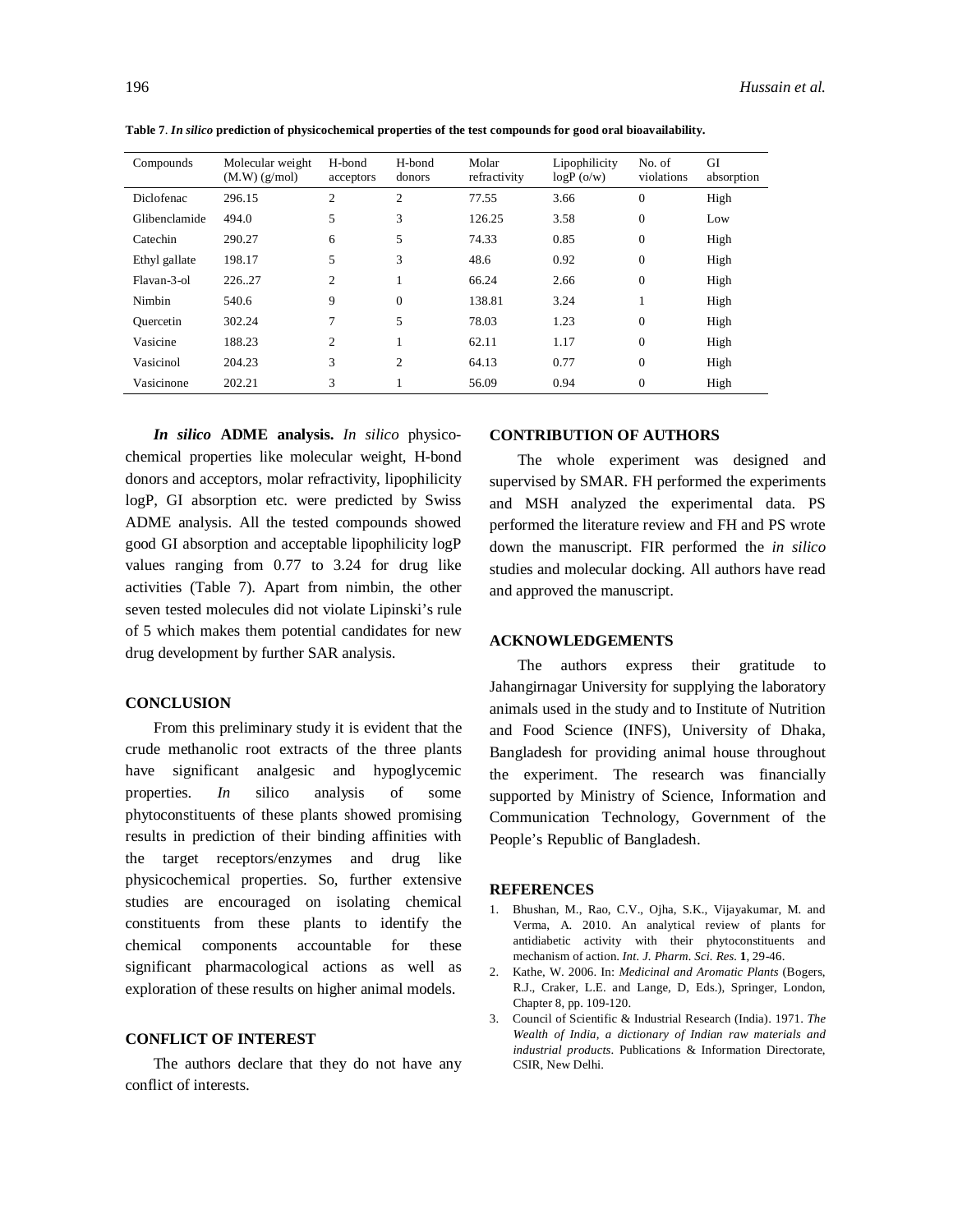| l YO |  |  |
|------|--|--|
|      |  |  |

**Table 7**. *In silico* **prediction of physicochemical properties of the test compounds for good oral bioavailability.**

| Compounds     | Molecular weight<br>$(M.W)$ $(g/mol)$ | H-bond<br>acceptors | H-bond<br>donors | Molar<br>refractivity | Lipophilicity<br>$logP$ (o/w) | No. of<br>violations | GI<br>absorption |
|---------------|---------------------------------------|---------------------|------------------|-----------------------|-------------------------------|----------------------|------------------|
| Diclofenac    | 296.15                                | 2                   | 2                | 77.55                 | 3.66                          | $\boldsymbol{0}$     | High             |
| Glibenclamide | 494.0                                 | 5                   | 3                | 126.25                | 3.58                          | $\boldsymbol{0}$     | Low              |
| Catechin      | 290.27                                | 6                   | 5                | 74.33                 | 0.85                          | $\boldsymbol{0}$     | High             |
| Ethyl gallate | 198.17                                | 5                   | 3                | 48.6                  | 0.92                          | 0                    | High             |
| Flavan-3-ol   | 226.27                                | 2                   |                  | 66.24                 | 2.66                          | 0                    | High             |
| Nimbin        | 540.6                                 | 9                   | $\mathbf{0}$     | 138.81                | 3.24                          | 1                    | High             |
| Quercetin     | 302.24                                | 7                   | 5                | 78.03                 | 1.23                          | $\boldsymbol{0}$     | High             |
| Vasicine      | 188.23                                | 2                   |                  | 62.11                 | 1.17                          | $\boldsymbol{0}$     | High             |
| Vasicinol     | 204.23                                | 3                   | 2                | 64.13                 | 0.77                          | $\boldsymbol{0}$     | High             |
| Vasicinone    | 202.21                                | 3                   |                  | 56.09                 | 0.94                          | $\overline{0}$       | High             |

*In silico* **ADME analysis.** *In silico* physicochemical properties like molecular weight, H-bond donors and acceptors, molar refractivity, lipophilicity logP, GI absorption etc. were predicted by Swiss ADME analysis. All the tested compounds showed good GI absorption and acceptable lipophilicity logP values ranging from 0.77 to 3.24 for drug like activities (Table 7). Apart from nimbin, the other seven tested molecules did not violate Lipinski's rule of 5 which makes them potential candidates for new drug development by further SAR analysis.

# **CONCLUSION**

From this preliminary study it is evident that the crude methanolic root extracts of the three plants have significant analgesic and hypoglycemic properties. *In* silico analysis of some phytoconstituents of these plants showed promising results in prediction of their binding affinities with the target receptors/enzymes and drug like physicochemical properties. So, further extensive studies are encouraged on isolating chemical constituents from these plants to identify the chemical components accountable for these significant pharmacological actions as well as exploration of these results on higher animal models.

# **CONFLICT OF INTEREST**

The authors declare that they do not have any conflict of interests.

# **CONTRIBUTION OF AUTHORS**

The whole experiment was designed and supervised by SMAR. FH performed the experiments and MSH analyzed the experimental data. PS performed the literature review and FH and PS wrote down the manuscript. FIR performed the *in silico*  studies and molecular docking. All authors have read and approved the manuscript.

# **ACKNOWLEDGEMENTS**

The authors express their gratitude to Jahangirnagar University for supplying the laboratory animals used in the study and to Institute of Nutrition and Food Science (INFS), University of Dhaka, Bangladesh for providing animal house throughout the experiment. The research was financially supported by Ministry of Science, Information and Communication Technology, Government of the People's Republic of Bangladesh.

### **REFERENCES**

- 1. Bhushan, M., Rao, C.V., Ojha, S.K., Vijayakumar, M. and Verma, A. 2010. An analytical review of plants for antidiabetic activity with their phytoconstituents and mechanism of action. *Int. J. Pharm. Sci. Res.* **1**, 29-46.
- 2. Kathe, W. 2006. In: *Medicinal and Aromatic Plants* (Bogers, R.J., Craker, L.E. and Lange, D, Eds.), Springer, London, Chapter 8, pp. 109-120.
- 3. Council of Scientific & Industrial Research (India). 1971. *The Wealth of India, a dictionary of Indian raw materials and industrial products*. Publications & Information Directorate, CSIR, New Delhi.